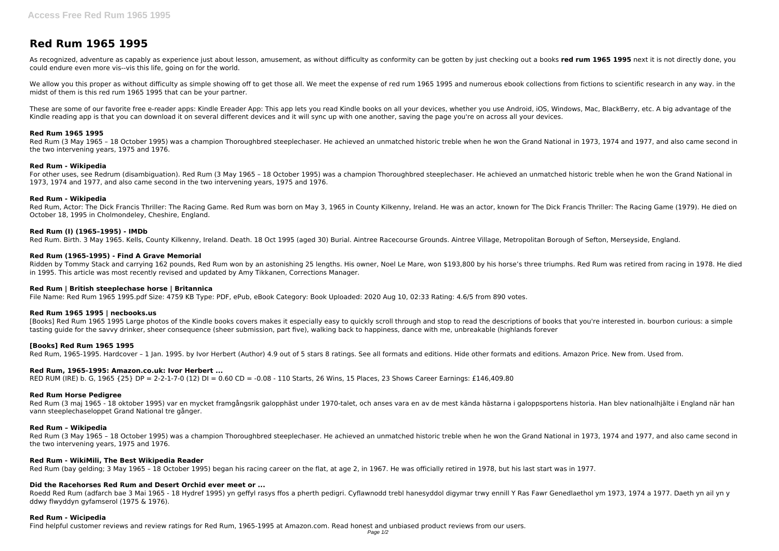# **Red Rum 1965 1995**

As recognized, adventure as capably as experience just about lesson, amusement, as without difficulty as conformity can be gotten by just checking out a books red rum 1965 1995 next it is not directly done, you could endure even more vis--vis this life, going on for the world.

We allow you this proper as without difficulty as simple showing off to get those all. We meet the expense of red rum 1965 1995 and numerous ebook collections from fictions to scientific research in any way. in the midst of them is this red rum 1965 1995 that can be your partner.

These are some of our favorite free e-reader apps: Kindle Ereader App: This app lets you read Kindle books on all your devices, whether you use Android, iOS, Windows, Mac, BlackBerry, etc. A big advantage of the Kindle reading app is that you can download it on several different devices and it will sync up with one another, saving the page you're on across all your devices.

Red Rum, Actor: The Dick Francis Thriller: The Racing Game. Red Rum was born on May 3, 1965 in County Kilkenny, Ireland. He was an actor, known for The Dick Francis Thriller: The Racing Game (1979). He died on October 18, 1995 in Cholmondeley, Cheshire, England.

## **Red Rum 1965 1995**

Red Rum (3 May 1965 – 18 October 1995) was a champion Thoroughbred steeplechaser. He achieved an unmatched historic treble when he won the Grand National in 1973, 1974 and 1977, and also came second in the two intervening years, 1975 and 1976.

Ridden by Tommy Stack and carrying 162 pounds, Red Rum won by an astonishing 25 lengths. His owner, Noel Le Mare, won \$193,800 by his horse's three triumphs. Red Rum was retired from racing in 1978. He died in 1995. This article was most recently revised and updated by Amy Tikkanen, Corrections Manager.

# **Red Rum - Wikipedia**

For other uses, see Redrum (disambiguation). Red Rum (3 May 1965 – 18 October 1995) was a champion Thoroughbred steeplechaser. He achieved an unmatched historic treble when he won the Grand National in 1973, 1974 and 1977, and also came second in the two intervening years, 1975 and 1976.

[Books] Red Rum 1965 1995 Large photos of the Kindle books covers makes it especially easy to quickly scroll through and stop to read the descriptions of books that you're interested in. bourbon curious: a simple tasting guide for the savvy drinker, sheer consequence (sheer submission, part five), walking back to happiness, dance with me, unbreakable (highlands forever

# **Red Rum - Wikipedia**

### **Red Rum (I) (1965–1995) - IMDb**

Red Rum. Birth. 3 May 1965. Kells, County Kilkenny, Ireland. Death. 18 Oct 1995 (aged 30) Burial. Aintree Racecourse Grounds. Aintree Village, Metropolitan Borough of Sefton, Merseyside, England.

Red Rum (3 maj 1965 - 18 oktober 1995) var en mycket framgångsrik galopphäst under 1970-talet, och anses vara en av de mest kända hästarna i galoppsportens historia. Han blev nationalhjälte i England när han vann steeplechaseloppet Grand National tre gånger.

Red Rum (3 May 1965 - 18 October 1995) was a champion Thoroughbred steeplechaser. He achieved an unmatched historic treble when he won the Grand National in 1973, 1974 and 1977, and also came second in the two intervening years, 1975 and 1976.

### **Red Rum (1965-1995) - Find A Grave Memorial**

# **Red Rum | British steeplechase horse | Britannica**

File Name: Red Rum 1965 1995.pdf Size: 4759 KB Type: PDF, ePub, eBook Category: Book Uploaded: 2020 Aug 10, 02:33 Rating: 4.6/5 from 890 votes.

# **Red Rum 1965 1995 | necbooks.us**

# **[Books] Red Rum 1965 1995**

Red Rum, 1965-1995. Hardcover – 1 Jan. 1995. by Ivor Herbert (Author) 4.9 out of 5 stars 8 ratings. See all formats and editions. Hide other formats and editions. Amazon Price. New from. Used from.

# **Red Rum, 1965-1995: Amazon.co.uk: Ivor Herbert ...**

RED RUM (IRE) b. G, 1965 {25} DP = 2-2-1-7-0 (12) DI = 0.60 CD = -0.08 - 110 Starts, 26 Wins, 15 Places, 23 Shows Career Earnings: £146,409.80

# **Red Rum Horse Pedigree**

#### **Red Rum – Wikipedia**

#### **Red Rum - WikiMili, The Best Wikipedia Reader**

Red Rum (bay gelding; 3 May 1965 – 18 October 1995) began his racing career on the flat, at age 2, in 1967. He was officially retired in 1978, but his last start was in 1977.

# **Did the Racehorses Red Rum and Desert Orchid ever meet or ...**

Roedd Red Rum (adfarch bae 3 Mai 1965 - 18 Hydref 1995) yn geffyl rasys ffos a pherth pedigri. Cyflawnodd trebl hanesyddol digymar trwy ennill Y Ras Fawr Genedlaethol ym 1973, 1974 a 1977. Daeth yn ail yn y ddwy flwyddyn gyfamserol (1975 & 1976).

#### **Red Rum - Wicipedia**

Find helpful customer reviews and review ratings for Red Rum, 1965-1995 at Amazon.com. Read honest and unbiased product reviews from our users.